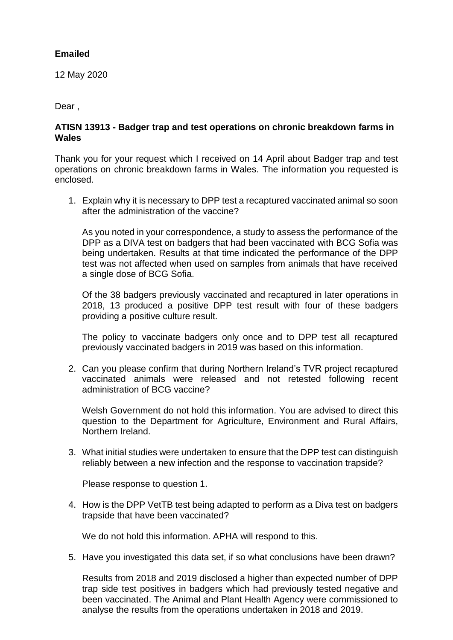## **Emailed**

12 May 2020

Dear ,

## **ATISN 13913 - Badger trap and test operations on chronic breakdown farms in Wales**

Thank you for your request which I received on 14 April about Badger trap and test operations on chronic breakdown farms in Wales. The information you requested is enclosed.

1. Explain why it is necessary to DPP test a recaptured vaccinated animal so soon after the administration of the vaccine?

As you noted in your correspondence, a study to assess the performance of the DPP as a DIVA test on badgers that had been vaccinated with BCG Sofia was being undertaken. Results at that time indicated the performance of the DPP test was not affected when used on samples from animals that have received a single dose of BCG Sofia.

Of the 38 badgers previously vaccinated and recaptured in later operations in 2018, 13 produced a positive DPP test result with four of these badgers providing a positive culture result.

The policy to vaccinate badgers only once and to DPP test all recaptured previously vaccinated badgers in 2019 was based on this information.

2. Can you please confirm that during Northern Ireland's TVR project recaptured vaccinated animals were released and not retested following recent administration of BCG vaccine?

Welsh Government do not hold this information. You are advised to direct this question to the Department for Agriculture, Environment and Rural Affairs, Northern Ireland.

3. What initial studies were undertaken to ensure that the DPP test can distinguish reliably between a new infection and the response to vaccination trapside?

Please response to question 1.

4. How is the DPP VetTB test being adapted to perform as a Diva test on badgers trapside that have been vaccinated?

We do not hold this information. APHA will respond to this.

5. Have you investigated this data set, if so what conclusions have been drawn?

Results from 2018 and 2019 disclosed a higher than expected number of DPP trap side test positives in badgers which had previously tested negative and been vaccinated. The Animal and Plant Health Agency were commissioned to analyse the results from the operations undertaken in 2018 and 2019.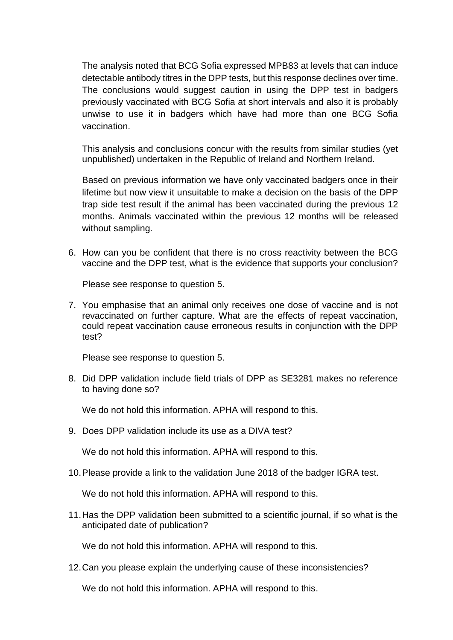The analysis noted that BCG Sofia expressed MPB83 at levels that can induce detectable antibody titres in the DPP tests, but this response declines over time. The conclusions would suggest caution in using the DPP test in badgers previously vaccinated with BCG Sofia at short intervals and also it is probably unwise to use it in badgers which have had more than one BCG Sofia vaccination.

This analysis and conclusions concur with the results from similar studies (yet unpublished) undertaken in the Republic of Ireland and Northern Ireland.

Based on previous information we have only vaccinated badgers once in their lifetime but now view it unsuitable to make a decision on the basis of the DPP trap side test result if the animal has been vaccinated during the previous 12 months. Animals vaccinated within the previous 12 months will be released without sampling.

6. How can you be confident that there is no cross reactivity between the BCG vaccine and the DPP test, what is the evidence that supports your conclusion?

Please see response to question 5.

7. You emphasise that an animal only receives one dose of vaccine and is not revaccinated on further capture. What are the effects of repeat vaccination, could repeat vaccination cause erroneous results in conjunction with the DPP test?

Please see response to question 5.

8. Did DPP validation include field trials of DPP as SE3281 makes no reference to having done so?

We do not hold this information. APHA will respond to this.

9. Does DPP validation include its use as a DIVA test?

We do not hold this information. APHA will respond to this.

10.Please provide a link to the validation June 2018 of the badger IGRA test.

We do not hold this information. APHA will respond to this.

11.Has the DPP validation been submitted to a scientific journal, if so what is the anticipated date of publication?

We do not hold this information. APHA will respond to this.

12.Can you please explain the underlying cause of these inconsistencies?

We do not hold this information. APHA will respond to this.